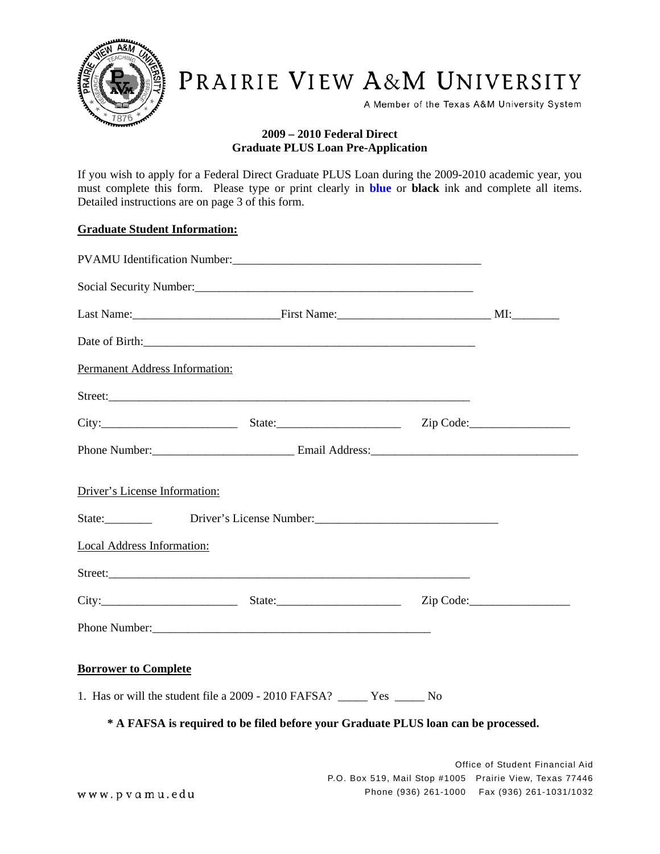

# PRAIRIE VIEW A&M UNIVERSITY

A Member of the Texas A&M University System

### **2009 – 2010 Federal Direct Graduate PLUS Loan Pre-Application**

If you wish to apply for a Federal Direct Graduate PLUS Loan during the 2009-2010 academic year, you must complete this form. Please type or print clearly in **blue** or **black** ink and complete all items. Detailed instructions are on page 3 of this form.

#### **Graduate Student Information:**

| Permanent Address Information:    |                                                                                                                                                                                                                               |  |
|-----------------------------------|-------------------------------------------------------------------------------------------------------------------------------------------------------------------------------------------------------------------------------|--|
|                                   |                                                                                                                                                                                                                               |  |
|                                   | City: City: City: City: City: City: City: City: City: City: City: City: City: City: City: City: City: City: City: City: City: City: City: City: City: City: City: City: City: City: City: City: City: City: City: City: City: |  |
|                                   |                                                                                                                                                                                                                               |  |
| Driver's License Information:     |                                                                                                                                                                                                                               |  |
| <b>Local Address Information:</b> |                                                                                                                                                                                                                               |  |
|                                   |                                                                                                                                                                                                                               |  |
|                                   | City: City: City: City: City: City: City: City: City: City: City: City: City: City: City: City: City: City: City: City: City: City: City: City: City: City: City: City: City: City: City: City: City: City: City: City: City: |  |
|                                   |                                                                                                                                                                                                                               |  |
| <b>Borrower to Complete</b>       |                                                                                                                                                                                                                               |  |
|                                   | 1. Has or will the student file a 2009 - 2010 FAFSA? ______ Yes _____ No                                                                                                                                                      |  |
|                                   | * A FAFSA is required to be filed before your Graduate PLUS loan can be processed.                                                                                                                                            |  |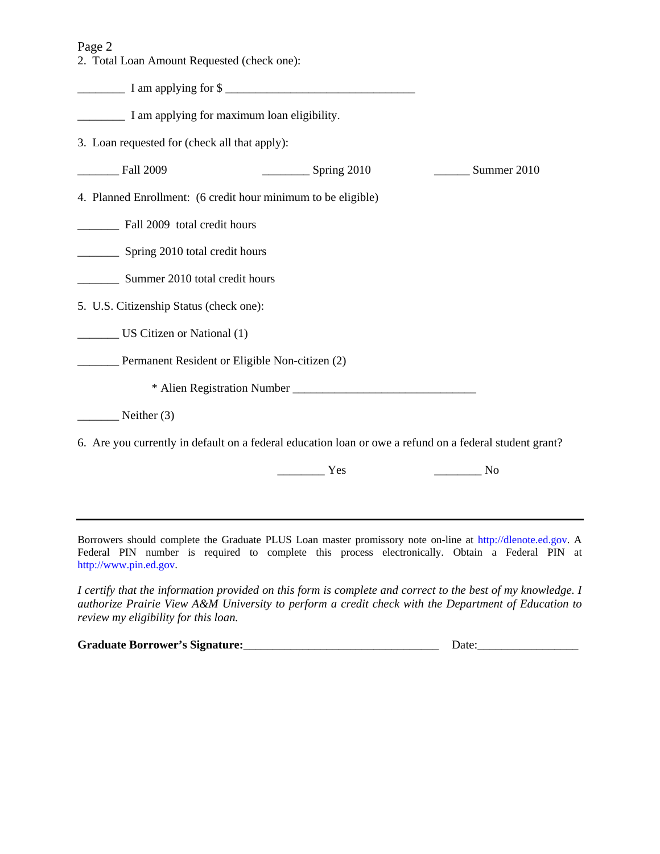Page 2

2. Total Loan Amount Requested (check one):

\_\_\_\_\_\_\_\_ I am applying for \$ \_\_\_\_\_\_\_\_\_\_\_\_\_\_\_\_\_\_\_\_\_\_\_\_\_\_\_\_\_\_\_\_

\_\_\_\_\_\_\_\_ I am applying for maximum loan eligibility.

3. Loan requested for (check all that apply):

| <b>Fall 2009</b>                                                                                        | Spring 2010 | Summer 2010 |
|---------------------------------------------------------------------------------------------------------|-------------|-------------|
| 4. Planned Enrollment: (6 credit hour minimum to be eligible)                                           |             |             |
| Fall 2009 total credit hours                                                                            |             |             |
| Spring 2010 total credit hours                                                                          |             |             |
| Summer 2010 total credit hours                                                                          |             |             |
| 5. U.S. Citizenship Status (check one):                                                                 |             |             |
| US Citizen or National (1)                                                                              |             |             |
| Permanent Resident or Eligible Non-citizen (2)                                                          |             |             |
|                                                                                                         |             |             |
| Neither $(3)$                                                                                           |             |             |
| 6. Are you currently in default on a federal education loan or owe a refund on a federal student grant? |             |             |

\_\_\_\_\_\_\_\_ Yes \_\_\_\_\_\_\_\_ No

Borrowers should complete the Graduate PLUS Loan master promissory note on-line at http://dlenote.ed.gov. A Federal PIN number is required to complete this process electronically. Obtain a Federal PIN at http://www.pin.ed.gov.

*I certify that the information provided on this form is complete and correct to the best of my knowledge. I authorize Prairie View A&M University to perform a credit check with the Department of Education to review my eligibility for this loan.* 

| <b>Graduate Borrower's Signature:</b> | Date. |
|---------------------------------------|-------|
|                                       |       |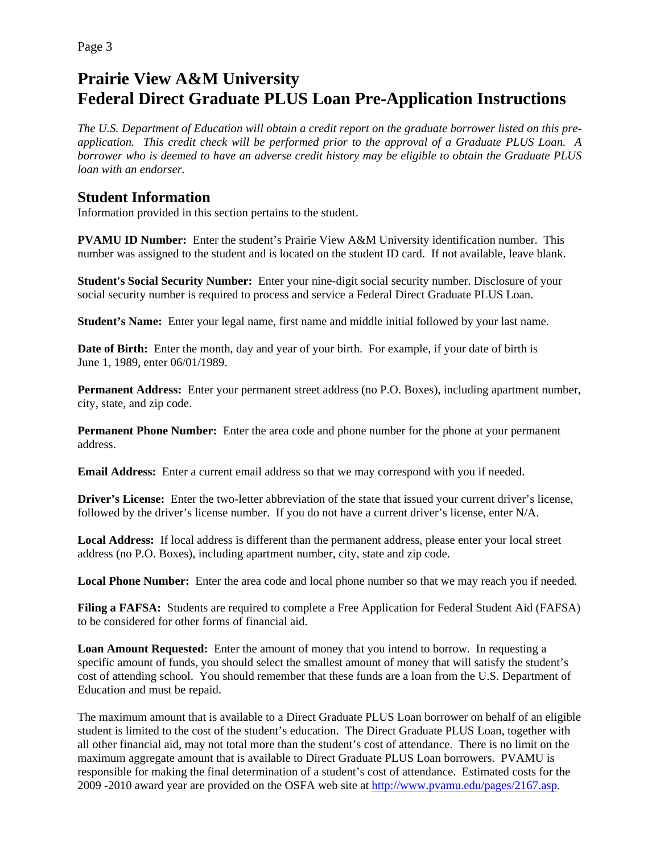Page 3

## **Prairie View A&M University Federal Direct Graduate PLUS Loan Pre-Application Instructions**

*The U.S. Department of Education will obtain a credit report on the graduate borrower listed on this preapplication. This credit check will be performed prior to the approval of a Graduate PLUS Loan. A borrower who is deemed to have an adverse credit history may be eligible to obtain the Graduate PLUS loan with an endorser.* 

**Student Information**<br>Information provided in this section pertains to the student.

**PVAMU ID Number:** Enter the student's Prairie View A&M University identification number. This number was assigned to the student and is located on the student ID card. If not available, leave blank.

**Student's Social Security Number:** Enter your nine-digit social security number. Disclosure of your social security number is required to process and service a Federal Direct Graduate PLUS Loan.

**Student's Name:** Enter your legal name, first name and middle initial followed by your last name.

**Date of Birth:** Enter the month, day and year of your birth. For example, if your date of birth is June 1, 1989, enter 06/01/1989.

**Permanent Address:** Enter your permanent street address (no P.O. Boxes), including apartment number, city, state, and zip code.

**Permanent Phone Number:** Enter the area code and phone number for the phone at your permanent address.

**Email Address:** Enter a current email address so that we may correspond with you if needed.

**Driver's License:** Enter the two-letter abbreviation of the state that issued your current driver's license, followed by the driver's license number. If you do not have a current driver's license, enter N/A.

**Local Address:** If local address is different than the permanent address, please enter your local street address (no P.O. Boxes), including apartment number, city, state and zip code.

**Local Phone Number:** Enter the area code and local phone number so that we may reach you if needed.

**Filing a FAFSA:** Students are required to complete a Free Application for Federal Student Aid (FAFSA) to be considered for other forms of financial aid.

**Loan Amount Requested:** Enter the amount of money that you intend to borrow. In requesting a specific amount of funds, you should select the smallest amount of money that will satisfy the student's cost of attending school. You should remember that these funds are a loan from the U.S. Department of Education and must be repaid.

The maximum amount that is available to a Direct Graduate PLUS Loan borrower on behalf of an eligible student is limited to the cost of the student's education. The Direct Graduate PLUS Loan, together with all other financial aid, may not total more than the student's cost of attendance. There is no limit on the maximum aggregate amount that is available to Direct Graduate PLUS Loan borrowers. PVAMU is responsible for making the final determination of a student's cost of attendance. Estimated costs for the 2009 -2010 award year are provided on the OSFA web site at http://www.pvamu.edu/pages/2167.asp.